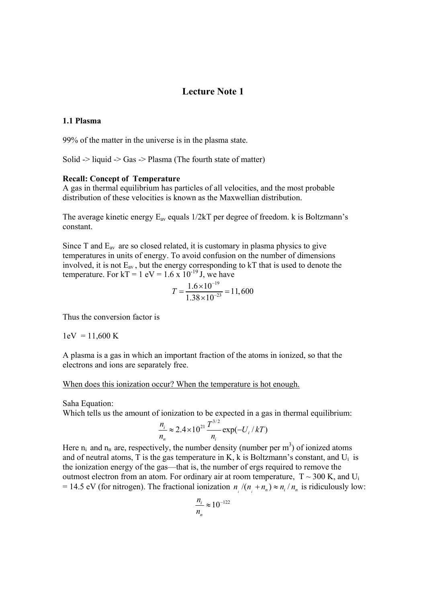# **Lecture Note 1**

#### **1.1 Plasma**

99% of the matter in the universe is in the plasma state.

Solid  $\ge$  liquid  $\ge$  Gas  $\ge$  Plasma (The fourth state of matter)

#### **Recall: Concept of Temperature**

A gas in thermal equilibrium has particles of all velocities, and the most probable distribution of these velocities is known as the Maxwellian distribution.

The average kinetic energy  $E_{av}$  equals  $1/2kT$  per degree of freedom. k is Boltzmann's constant.

Since  $T$  and  $E_{av}$  are so closed related, it is customary in plasma physics to give temperatures in units of energy. To avoid confusion on the number of dimensions involved, it is not  $E_{av}$ , but the energy corresponding to kT that is used to denote the temperature. For  $kT = 1$  eV = 1.6 x 10<sup>-19</sup> J, we have

$$
T = \frac{1.6 \times 10^{-19}}{1.38 \times 10^{-23}} = 11,600
$$

Thus the conversion factor is

 $1 \text{eV} = 11,600 \text{ K}$ 

A plasma is a gas in which an important fraction of the atoms in ionized, so that the electrons and ions are separately free.

#### When does this ionization occur? When the temperature is hot enough.

Saha Equation:

Which tells us the amount of ionization to be expected in a gas in thermal equilibrium:

$$
\frac{n_i}{n_n} \approx 2.4 \times 10^{21} \frac{T^{3/2}}{n_i} \exp(-U_i / kT)
$$

Here  $n_i$  and  $n_n$  are, respectively, the number density (number per m<sup>3</sup>) of ionized atoms and of neutral atoms, T is the gas temperature in K, k is Boltzmann's constant, and  $U_i$  is the ionization energy of the gas—that is, the number of ergs required to remove the outmost electron from an atom. For ordinary air at room temperature,  $T \sim 300$  K, and U<sub>i</sub> = 14.5 eV (for nitrogen). The fractional ionization  $n / (n + n_n) \approx n / n_n$  is ridiculously low:

$$
\frac{n_i}{n_n} \approx 10^{-122}
$$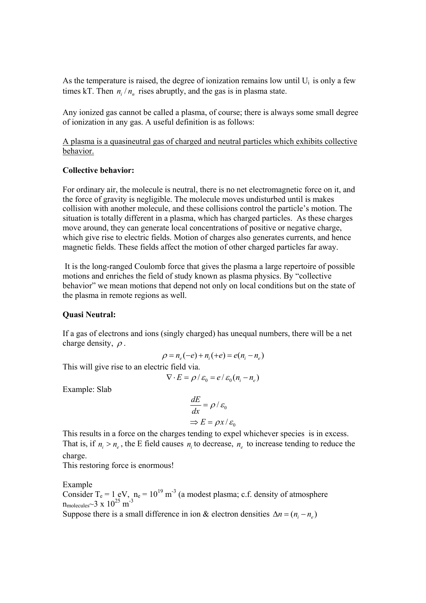As the temperature is raised, the degree of ionization remains low until  $U_i$  is only a few times kT. Then  $n_i/n_n$  rises abruptly, and the gas is in plasma state.

Any ionized gas cannot be called a plasma, of course; there is always some small degree of ionization in any gas. A useful definition is as follows:

A plasma is a quasineutral gas of charged and neutral particles which exhibits collective behavior.

## **Collective behavior:**

For ordinary air, the molecule is neutral, there is no net electromagnetic force on it, and the force of gravity is negligible. The molecule moves undisturbed until is makes collision with another molecule, and these collisions control the particle's motion. The situation is totally different in a plasma, which has charged particles. As these charges move around, they can generate local concentrations of positive or negative charge, which give rise to electric fields. Motion of charges also generates currents, and hence magnetic fields. These fields affect the motion of other charged particles far away.

 It is the long-ranged Coulomb force that gives the plasma a large repertoire of possible motions and enriches the field of study known as plasma physics. By "collective behavior" we mean motions that depend not only on local conditions but on the state of the plasma in remote regions as well.

#### **Quasi Neutral:**

If a gas of electrons and ions (singly charged) has unequal numbers, there will be a net charge density,  $\rho$ .

$$
\rho = n_e(-e) + n_i(+e) = e(n_i - n_e)
$$

This will give rise to an electric field via.

$$
\nabla \cdot E = \rho / \varepsilon_0 = e / \varepsilon_0 (n_i - n_e)
$$

Example: Slab

$$
\frac{dE}{dx} = \rho / \varepsilon_0
$$
  

$$
\Rightarrow E = \rho x / \varepsilon_0
$$

This results in a force on the charges tending to expel whichever species is in excess. That is, if  $n_i > n_e$ , the E field causes  $n_i$  to decrease,  $n_e$  to increase tending to reduce the charge.

This restoring force is enormous!

Example

Consider T<sub>e</sub> = 1 eV,  $n_e = 10^{19}$  m<sup>-3</sup> (a modest plasma; c.f. density of atmosphere  $n_{\text{molecules}}$ ~3 x  $10^{25}$  m<sup>-3</sup>

Suppose there is a small difference in ion & electron densities  $\Delta n = (n_i - n_e)$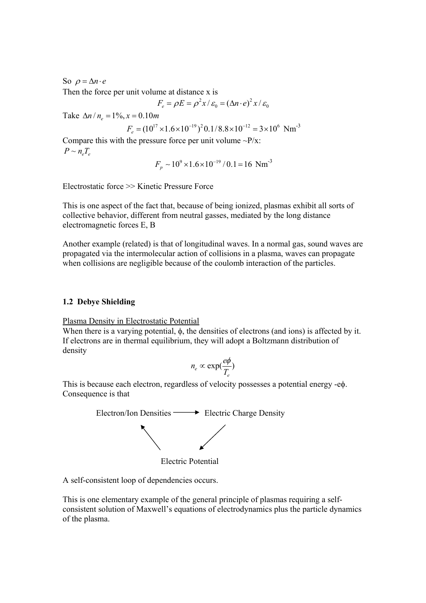So  $\rho = \Delta n \cdot e$ Then the force per unit volume at distance x is

$$
F_e = \rho E = \rho^2 x / \varepsilon_0 = (\Delta n \cdot e)^2 x / \varepsilon_0
$$

Take  $\Delta n / n = 1\%$ ,  $x = 0.10$  *m* 

$$
F_e = (10^{17} \times 1.6 \times 10^{-19})^2 0.1/8.8 \times 10^{-12} = 3 \times 10^6
$$
 Nm<sup>-3</sup>

Compare this with the pressure force per unit volume  $\sim P/x$ :  $P \sim n_e T_e$ 

$$
F_p \sim 10^9 \times 1.6 \times 10^{-19} / 0.1 = 16
$$
 Nm<sup>-3</sup>

Electrostatic force >> Kinetic Pressure Force

This is one aspect of the fact that, because of being ionized, plasmas exhibit all sorts of collective behavior, different from neutral gasses, mediated by the long distance electromagnetic forces E, B

Another example (related) is that of longitudinal waves. In a normal gas, sound waves are propagated via the intermolecular action of collisions in a plasma, waves can propagate when collisions are negligible because of the coulomb interaction of the particles.

#### **1.2 Debye Shielding**

Plasma Density in Electrostatic Potential

When there is a varying potential, φ, the densities of electrons (and ions) is affected by it. If electrons are in thermal equilibrium, they will adopt a Boltzmann distribution of density

$$
n_e \propto \exp(\frac{e\phi}{T_e})
$$

This is because each electron, regardless of velocity possesses a potential energy -eφ. Consequence is that



Electric Potential

A self-consistent loop of dependencies occurs.

This is one elementary example of the general principle of plasmas requiring a selfconsistent solution of Maxwell's equations of electrodynamics plus the particle dynamics of the plasma.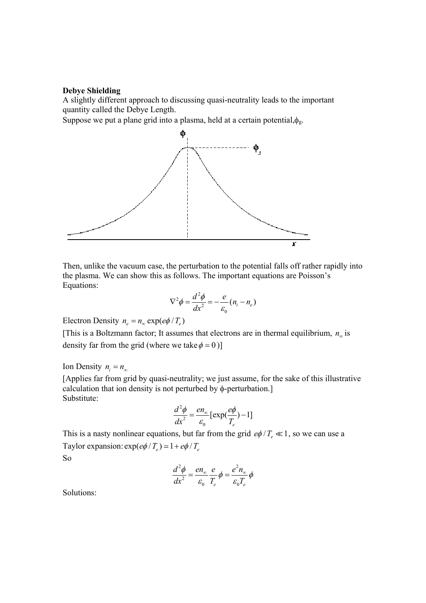## **Debye Shielding**

A slightly different approach to discussing quasi-neutrality leads to the important quantity called the Debye Length.

Suppose we put a plane grid into a plasma, held at a certain potential, $\phi_{g}$ .



Then, unlike the vacuum case, the perturbation to the potential falls off rather rapidly into the plasma. We can show this as follows. The important equations are Poisson's Equations:

$$
\nabla^2 \phi = \frac{d^2 \phi}{dx^2} = -\frac{e}{\varepsilon_0} (n_i - n_e)
$$

Electron Density  $n_e = n_\infty \exp(e\phi / T_e)$ 

[This is a Boltzmann factor; It assumes that electrons are in thermal equilibrium,  $n_{\infty}$  is density far from the grid (where we take  $\phi = 0$ )]

Ion Density  $n_i = n_\infty$ 

[Applies far from grid by quasi-neutrality; we just assume, for the sake of this illustrative calculation that ion density is not perturbed by φ-perturbation.] Substitute:

$$
\frac{d^2\phi}{dx^2} = \frac{en_\infty}{\varepsilon_0} \left[ \exp(\frac{e\phi}{T_e}) - 1 \right]
$$

This is a nasty nonlinear equations, but far from the grid  $e\phi/T_e \ll 1$ , so we can use a Taylor expansion:  $\exp(e\phi/T_e) \approx 1 + e\phi/T_e$ 

So

$$
\frac{d^2\phi}{dx^2} = \frac{en_{\infty}}{\varepsilon_0} \frac{e}{T_e} \phi = \frac{e^2 n_{\infty}}{\varepsilon_0 T_e} \phi
$$

Solutions: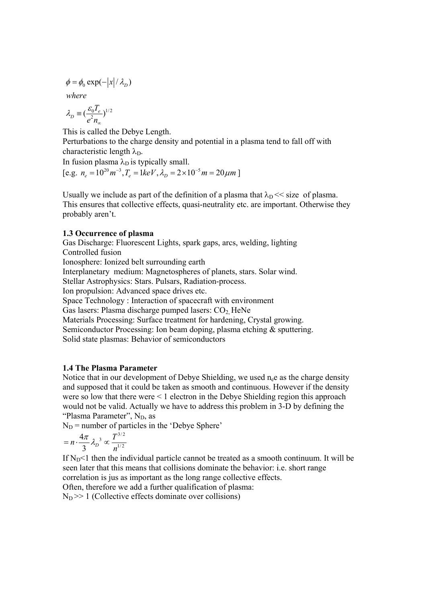$\phi = \phi_0 \exp(-|x|/\lambda_D)$ 

*where*

$$
\lambda_D \equiv \left(\frac{\varepsilon_0 T_e}{e^2 n_{\infty}}\right)^{1/2}
$$

This is called the Debye Length. Perturbations to the charge density and potential in a plasma tend to fall off with characteristic length  $\lambda_D$ .

In fusion plasma  $\lambda_D$  is typically small.

 $[e.g. n_e = 10^{20} m^{-3}, T_e = 1 keV, \lambda_p = 2 \times 10^{-5} m = 20 \mu m]$ 

Usually we include as part of the definition of a plasma that  $\lambda_D \ll$  size of plasma. This ensures that collective effects, quasi-neutrality etc. are important. Otherwise they probably aren't.

## **1.3 Occurrence of plasma**

Gas Discharge: Fluorescent Lights, spark gaps, arcs, welding, lighting Controlled fusion Ionosphere: Ionized belt surrounding earth Interplanetary medium: Magnetospheres of planets, stars. Solar wind. Stellar Astrophysics: Stars. Pulsars, Radiation-process. Ion propulsion: Advanced space drives etc. Space Technology : Interaction of spacecraft with environment Gas lasers: Plasma discharge pumped lasers:  $CO<sub>2</sub>$  HeNe Materials Processing: Surface treatment for hardening, Crystal growing. Semiconductor Processing: Ion beam doping, plasma etching & sputtering. Solid state plasmas: Behavior of semiconductors

## **1.4 The Plasma Parameter**

Notice that in our development of Debye Shielding, we used  $n_e$ e as the charge density and supposed that it could be taken as smooth and continuous. However if the density were so low that there were < 1 electron in the Debye Shielding region this approach would not be valid. Actually we have to address this problem in 3-D by defining the "Plasma Parameter", N<sub>D</sub>, as

 $N_D$  = number of particles in the 'Debye Sphere'

$$
= n \cdot \frac{4\pi}{3} \lambda_D^{3} \propto \frac{T^{3/2}}{n^{1/2}}
$$

If  $N_D$ <1 then the individual particle cannot be treated as a smooth continuum. It will be seen later that this means that collisions dominate the behavior: i.e. short range correlation is jus as important as the long range collective effects.

Often, therefore we add a further qualification of plasma:  $N_D$  >> 1 (Collective effects dominate over collisions)